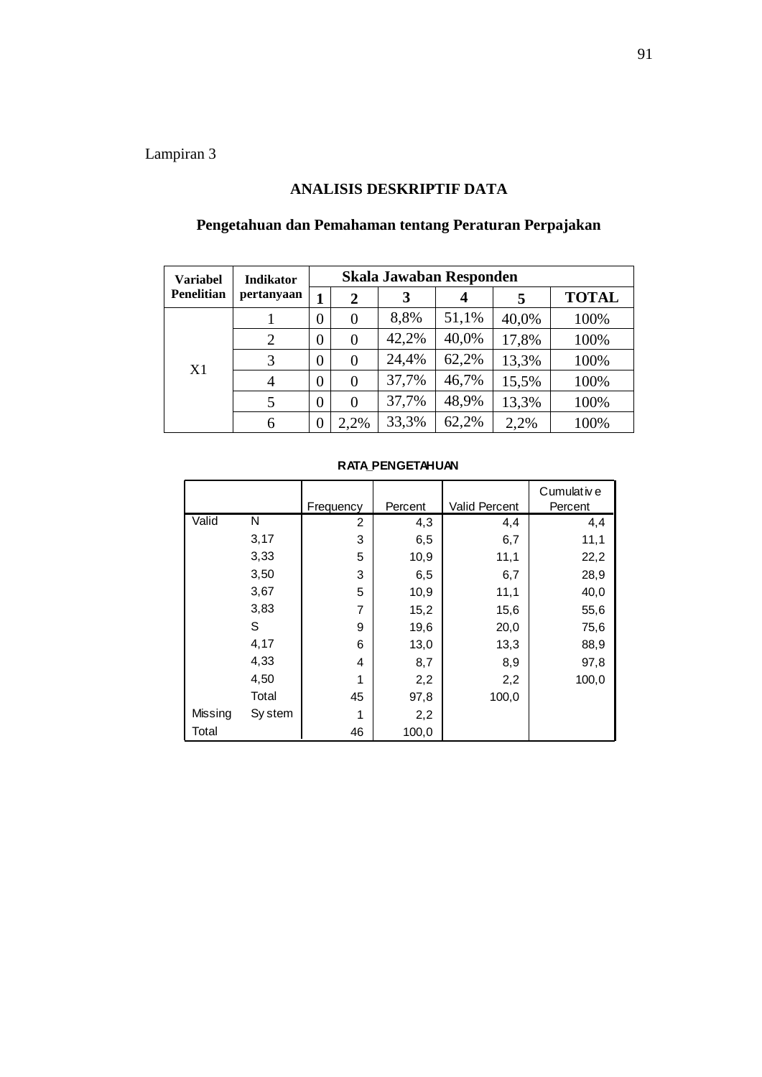# **ANALISIS DESKRIPTIF DATA**

| <b>Variabel</b>   | Indikator      | Skala Jawaban Responden |                |       |       |       |              |  |
|-------------------|----------------|-------------------------|----------------|-------|-------|-------|--------------|--|
| <b>Penelitian</b> | pertanyaan     | 1                       | 2              | 3     |       | 5     | <b>TOTAL</b> |  |
|                   |                | $\overline{0}$          | 0              | 8,8%  | 51,1% | 40,0% | 100%         |  |
|                   | $\overline{2}$ | $\overline{0}$          | $\overline{0}$ | 42,2% | 40,0% | 17,8% | 100%         |  |
| X1                | 3              | $\overline{0}$          | $\overline{0}$ | 24,4% | 62,2% | 13,3% | 100%         |  |
|                   | 4              | $\overline{0}$          | $\Omega$       | 37,7% | 46,7% | 15,5% | 100%         |  |
|                   | 5              | $\overline{0}$          | 0              | 37,7% | 48,9% | 13,3% | 100%         |  |
|                   | 6              | 0                       | 2,2%           | 33,3% | 62,2% | 2,2%  | 100%         |  |

## **Pengetahuan dan Pemahaman tentang Peraturan Perpajakan**

| <b>RATA PENGETAHUAN</b> |         |                |         |                      |            |  |  |  |  |
|-------------------------|---------|----------------|---------|----------------------|------------|--|--|--|--|
|                         |         |                |         |                      | Cumulative |  |  |  |  |
|                         |         | Frequency      | Percent | <b>Valid Percent</b> | Percent    |  |  |  |  |
| Valid                   | N       | $\overline{c}$ | 4,3     | 4,4                  | 4,4        |  |  |  |  |
|                         | 3,17    | 3              | 6,5     | 6,7                  | 11,1       |  |  |  |  |
|                         | 3,33    | 5              | 10,9    | 11,1                 | 22,2       |  |  |  |  |
|                         | 3,50    | 3              | 6,5     | 6,7                  | 28,9       |  |  |  |  |
|                         | 3,67    | 5              | 10,9    | 11,1                 | 40,0       |  |  |  |  |
|                         | 3,83    | 7              | 15,2    | 15,6                 | 55,6       |  |  |  |  |
|                         | S       | 9              | 19,6    | 20,0                 | 75,6       |  |  |  |  |
|                         | 4,17    | 6              | 13,0    | 13,3                 | 88,9       |  |  |  |  |
|                         | 4,33    | 4              | 8,7     | 8,9                  | 97,8       |  |  |  |  |
|                         | 4,50    | 1              | 2,2     | 2,2                  | 100,0      |  |  |  |  |
|                         | Total   | 45             | 97,8    | 100,0                |            |  |  |  |  |
| Missing                 | Sy stem | 1              | 2,2     |                      |            |  |  |  |  |
| Total                   |         | 46             | 100,0   |                      |            |  |  |  |  |

#### **RATA\_PENGETAHUAN**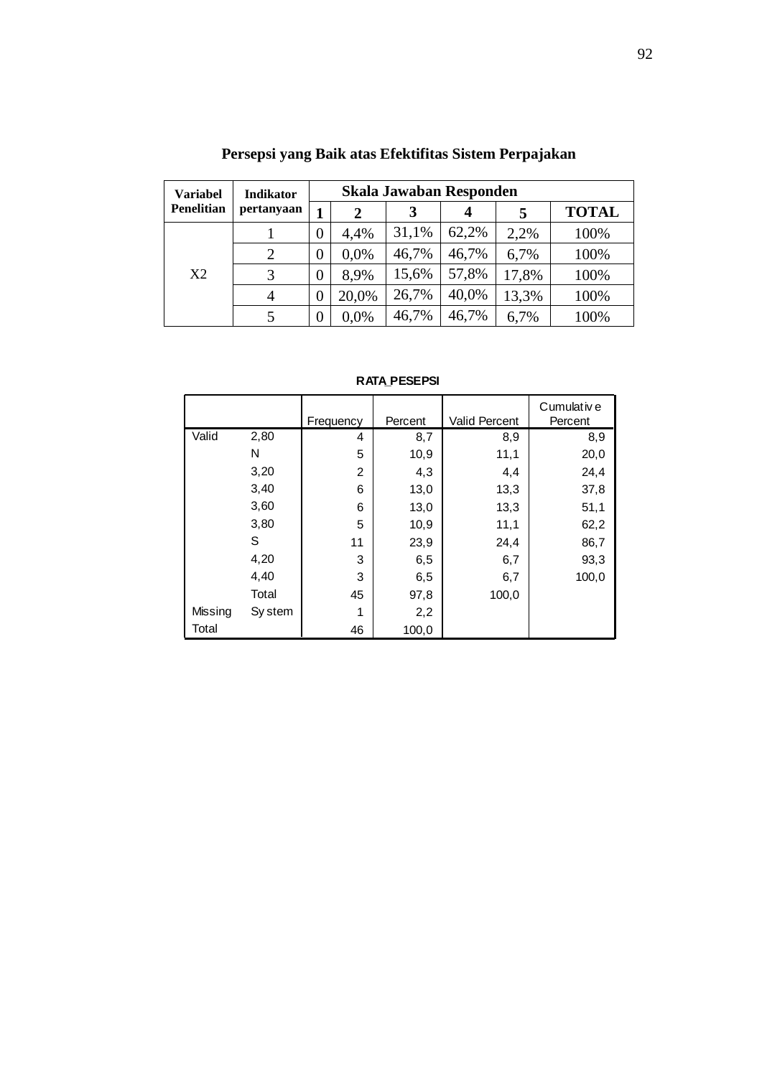| <b>Variabel</b> | <b>Indikator</b> | <b>Skala Jawaban Responden</b> |       |       |       |       |              |
|-----------------|------------------|--------------------------------|-------|-------|-------|-------|--------------|
| Penelitian      | pertanyaan       | 1                              | 2     | 3     | 4     | 5     | <b>TOTAL</b> |
| X2              |                  | $\overline{0}$                 | 4,4%  | 31,1% | 62,2% | 2,2%  | 100%         |
|                 | $\overline{2}$   | 0                              | 0,0%  | 46,7% | 46,7% | 6,7%  | 100%         |
|                 | 3                | 0                              | 8,9%  | 15,6% | 57,8% | 17,8% | 100%         |
|                 | 4                | 0                              | 20,0% | 26,7% | 40,0% | 13,3% | 100%         |
|                 | 5                | 0                              | 0,0%  | 46,7% | 46,7% | 6,7%  | 100%         |

# **Persepsi yang Baik atas Efektifitas Sistem Perpajakan**

| RATA PESEPSI |
|--------------|
|--------------|

| <b>RATA_PESEPSI</b> |         |           |         |                      |                       |  |  |  |  |
|---------------------|---------|-----------|---------|----------------------|-----------------------|--|--|--|--|
|                     |         | Frequency | Percent | <b>Valid Percent</b> | Cumulative<br>Percent |  |  |  |  |
| Valid               | 2,80    | 4         | 8,7     | 8,9                  | 8,9                   |  |  |  |  |
|                     | N       | 5         | 10,9    | 11,1                 | 20,0                  |  |  |  |  |
|                     | 3,20    | 2         | 4,3     | 4,4                  | 24,4                  |  |  |  |  |
|                     | 3,40    | 6         | 13,0    | 13,3                 | 37,8                  |  |  |  |  |
|                     | 3,60    | 6         | 13,0    | 13,3                 | 51,1                  |  |  |  |  |
|                     | 3,80    | 5         | 10,9    | 11,1                 | 62,2                  |  |  |  |  |
|                     | S       | 11        | 23,9    | 24,4                 | 86,7                  |  |  |  |  |
|                     | 4,20    | 3         | 6,5     | 6,7                  | 93,3                  |  |  |  |  |
|                     | 4,40    | 3         | 6,5     | 6,7                  | 100,0                 |  |  |  |  |
|                     | Total   | 45        | 97,8    | 100,0                |                       |  |  |  |  |
| Missing             | Sy stem |           | 2,2     |                      |                       |  |  |  |  |
| Total               |         | 46        | 100,0   |                      |                       |  |  |  |  |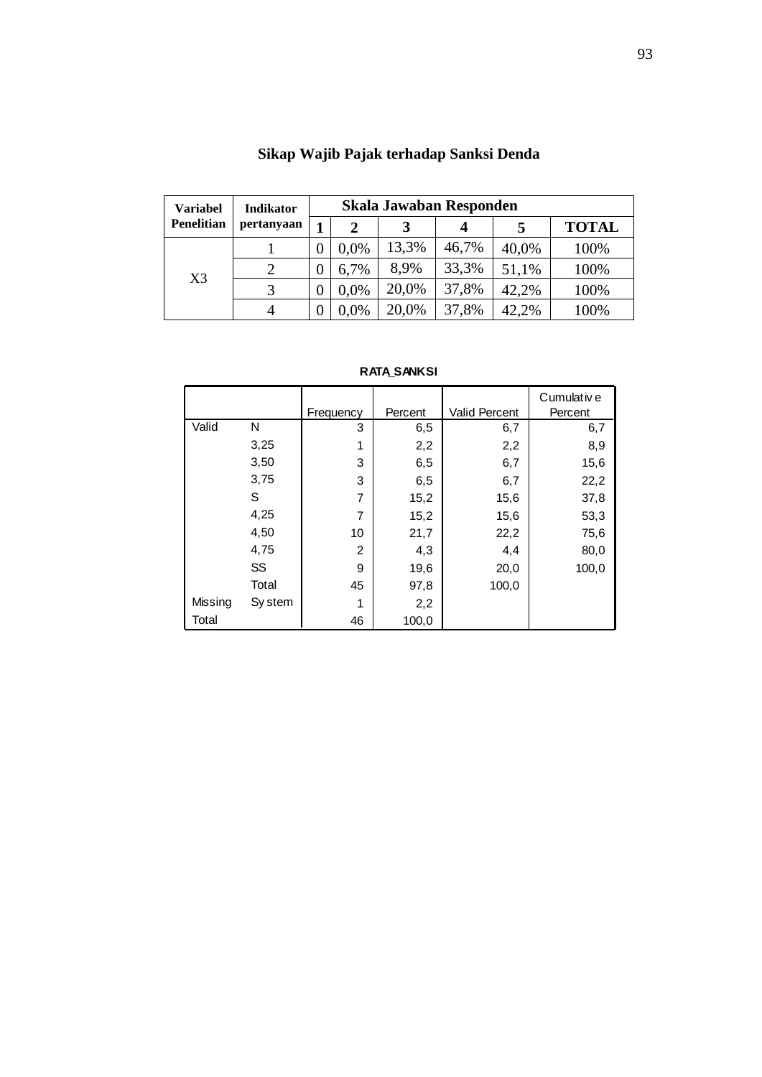| <b>Variabel</b>   | <b>Indikator</b> | Skala Jawaban Responden |      |       |       |       |              |  |
|-------------------|------------------|-------------------------|------|-------|-------|-------|--------------|--|
| <b>Penelitian</b> | pertanyaan       |                         | 2    | 3     |       |       | <b>TOTAL</b> |  |
| X <sub>3</sub>    |                  | 0                       | 0.0% | 13,3% | 46,7% | 40,0% | 100%         |  |
|                   |                  | 0                       | 6,7% | 8.9%  | 33,3% | 51,1% | 100%         |  |
|                   |                  |                         | 0,0% | 20,0% | 37,8% | 42,2% | 100%         |  |
|                   | 4                |                         | 0,0% | 20,0% | 37,8% | 42,2% | 100%         |  |

| Sikap Wajib Pajak terhadap Sanksi Denda |  |
|-----------------------------------------|--|
|                                         |  |

| <b>RATA SANKSI</b> |
|--------------------|
|--------------------|

| <b>RATA_SANKSI</b> |           |                |         |                      |                       |  |  |  |  |
|--------------------|-----------|----------------|---------|----------------------|-----------------------|--|--|--|--|
|                    |           | Frequency      | Percent | <b>Valid Percent</b> | Cumulative<br>Percent |  |  |  |  |
| Valid              | N         | 3              | 6,5     | 6,7                  | 6,7                   |  |  |  |  |
|                    | 3,25      | 1              | 2,2     | 2,2                  | 8,9                   |  |  |  |  |
|                    | 3,50      | 3              | 6,5     | 6,7                  | 15,6                  |  |  |  |  |
|                    | 3,75      | 3              | 6,5     | 6,7                  | 22,2                  |  |  |  |  |
|                    | S         | $\overline{7}$ | 15,2    | 15,6                 | 37,8                  |  |  |  |  |
|                    | 4,25      | 7              | 15,2    | 15,6                 | 53,3                  |  |  |  |  |
|                    | 4,50      | 10             | 21,7    | 22,2                 | 75,6                  |  |  |  |  |
|                    | 4,75      | 2              | 4,3     | 4,4                  | 80,0                  |  |  |  |  |
|                    | <b>SS</b> | 9              | 19,6    | 20,0                 | 100,0                 |  |  |  |  |
|                    | Total     | 45             | 97,8    | 100,0                |                       |  |  |  |  |
| Missing            | Sy stem   | 1              | 2,2     |                      |                       |  |  |  |  |
| Total              |           | 46             | 100,0   |                      |                       |  |  |  |  |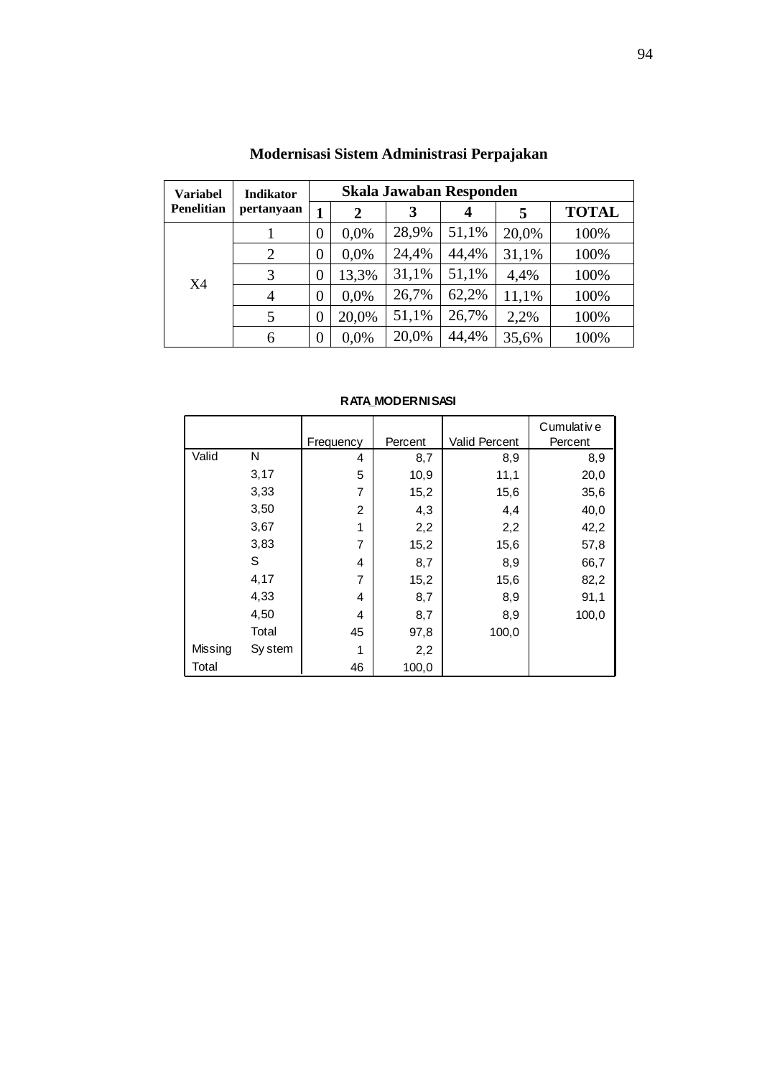| <b>Variabel</b>   | <b>Indikator</b> |                | Skala Jawaban Responden |       |       |       |              |  |
|-------------------|------------------|----------------|-------------------------|-------|-------|-------|--------------|--|
| <b>Penelitian</b> | pertanyaan       |                | 2                       | 3     | 4     | 5     | <b>TOTAL</b> |  |
|                   |                  | 0              | 0.0%                    | 28,9% | 51,1% | 20,0% | 100%         |  |
|                   | 2                | 0              | 0.0%                    | 24,4% | 44,4% | 31,1% | 100%         |  |
| X4                | 3                | 0              | 13,3%                   | 31,1% | 51,1% | 4,4%  | 100%         |  |
|                   | $\overline{4}$   | 0              | 0.0%                    | 26,7% | 62,2% | 11,1% | 100%         |  |
|                   | 5                | $\overline{0}$ | 20,0%                   | 51,1% | 26,7% | 2,2%  | 100%         |  |
|                   | 6                | 0              | 0,0%                    | 20,0% | 44,4% | 35,6% | 100%         |  |

# **Modernisasi Sistem Administrasi Perpajakan**

|  |  | <b>RATA MODERNISASI</b> |
|--|--|-------------------------|
|--|--|-------------------------|

| <b>RATA MODERNISASI</b> |         |                |         |                      |             |  |  |  |  |
|-------------------------|---------|----------------|---------|----------------------|-------------|--|--|--|--|
|                         |         |                |         |                      | Cumulativ e |  |  |  |  |
|                         |         | Frequency      | Percent | <b>Valid Percent</b> | Percent     |  |  |  |  |
| Valid                   | N       | 4              | 8,7     | 8,9                  | 8,9         |  |  |  |  |
|                         | 3,17    | 5              | 10,9    | 11,1                 | 20,0        |  |  |  |  |
|                         | 3,33    | 7              | 15,2    | 15,6                 | 35,6        |  |  |  |  |
|                         | 3,50    | $\overline{2}$ | 4,3     | 4,4                  | 40,0        |  |  |  |  |
|                         | 3,67    | 1              | 2,2     | 2,2                  | 42,2        |  |  |  |  |
|                         | 3,83    | 7              | 15,2    | 15,6                 | 57,8        |  |  |  |  |
|                         | S       | 4              | 8,7     | 8,9                  | 66,7        |  |  |  |  |
|                         | 4,17    | 7              | 15,2    | 15,6                 | 82,2        |  |  |  |  |
|                         | 4,33    | 4              | 8,7     | 8,9                  | 91,1        |  |  |  |  |
|                         | 4,50    | 4              | 8,7     | 8,9                  | 100,0       |  |  |  |  |
|                         | Total   | 45             | 97,8    | 100,0                |             |  |  |  |  |
| Missing                 | Sy stem | 1              | 2,2     |                      |             |  |  |  |  |
| Total                   |         | 46             | 100,0   |                      |             |  |  |  |  |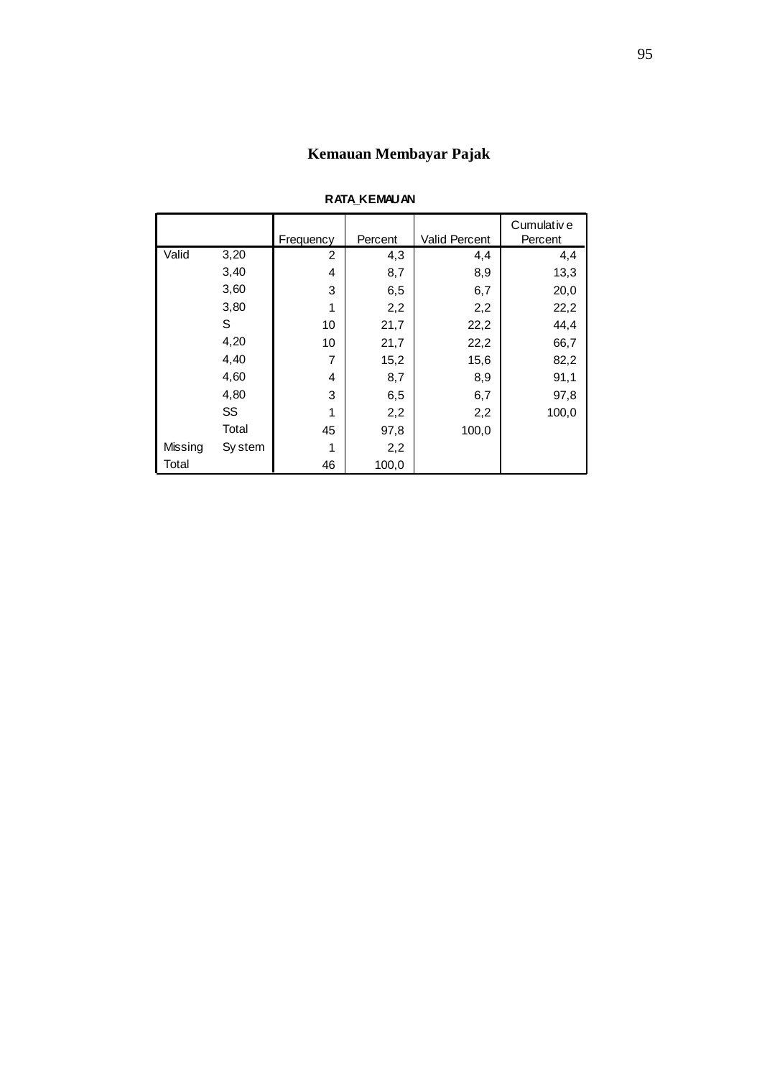# **Kemauan Membayar Pajak**

|         | <b>RATA_KEMAUAN</b> |           |         |                      |             |  |  |
|---------|---------------------|-----------|---------|----------------------|-------------|--|--|
|         |                     |           |         |                      | Cumulativ e |  |  |
|         |                     | Frequency | Percent | <b>Valid Percent</b> | Percent     |  |  |
| Valid   | 3,20                | 2         | 4,3     | 4,4                  | 4,4         |  |  |
|         | 3,40                | 4         | 8,7     | 8,9                  | 13,3        |  |  |
|         | 3,60                | 3         | 6,5     | 6,7                  | 20,0        |  |  |
|         | 3,80                | 1         | 2,2     | 2,2                  | 22,2        |  |  |
|         | S                   | 10        | 21,7    | 22,2                 | 44,4        |  |  |
|         | 4,20                | 10        | 21,7    | 22,2                 | 66,7        |  |  |
|         | 4,40                | 7         | 15,2    | 15,6                 | 82,2        |  |  |
|         | 4,60                | 4         | 8,7     | 8,9                  | 91,1        |  |  |
|         | 4,80                | 3         | 6,5     | 6,7                  | 97,8        |  |  |
|         | SS                  | 1         | 2,2     | 2,2                  | 100,0       |  |  |
|         | Total               | 45        | 97,8    | 100,0                |             |  |  |
| Missing | Sy stem             | 1         | 2,2     |                      |             |  |  |
| Total   |                     | 46        | 100,0   |                      |             |  |  |

#### **RATA\_KEMAUAN**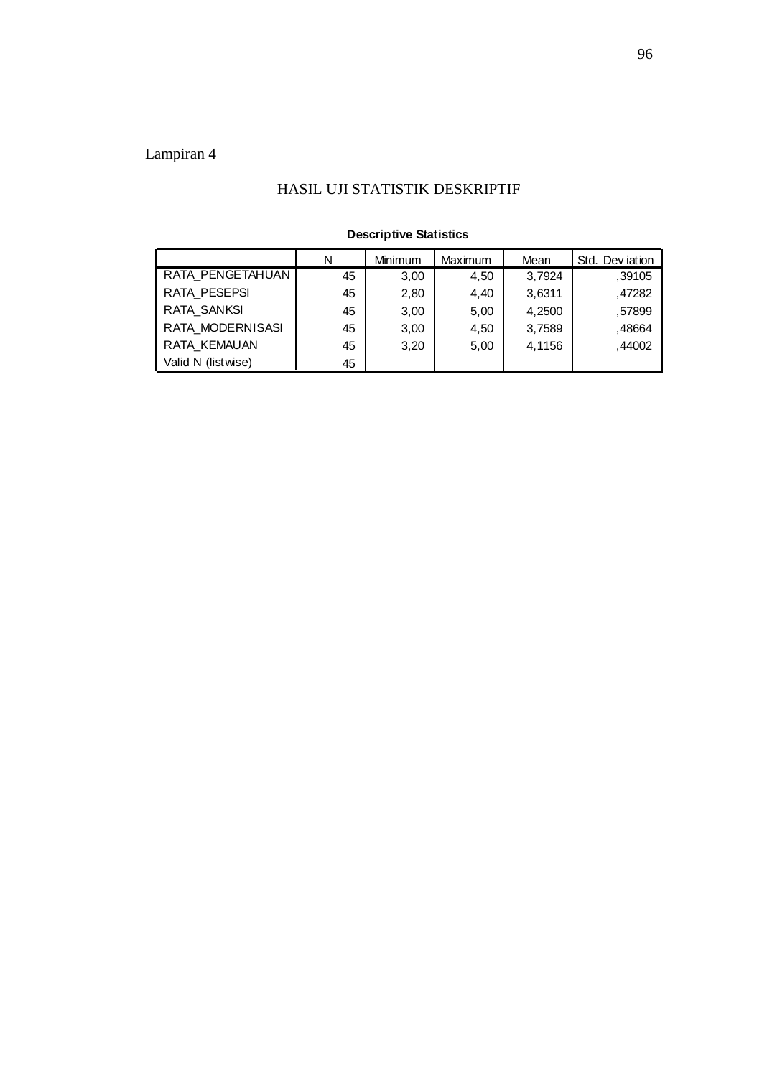### HASIL UJI STATISTIK DESKRIPTIF

| <b>Descriptive Statistics</b> |    |         |         |        |                 |  |
|-------------------------------|----|---------|---------|--------|-----------------|--|
|                               | N  | Minimum | Maximum | Mean   | Std. Dev jation |  |
| RATA PENGETAHUAN              | 45 | 3,00    | 4,50    | 3,7924 | ,39105          |  |
| RATA PESEPSI                  | 45 | 2,80    | 4,40    | 3,6311 | .47282          |  |
| <b>RATA SANKSI</b>            | 45 | 3,00    | 5,00    | 4,2500 | .57899          |  |
| RATA MODERNISASI              | 45 | 3,00    | 4,50    | 3,7589 | .48664          |  |
| RATA KEMAUAN                  | 45 | 3,20    | 5,00    | 4,1156 | ,44002          |  |
| Valid N (listwise)            | 45 |         |         |        |                 |  |

#### **Descriptive Statistics**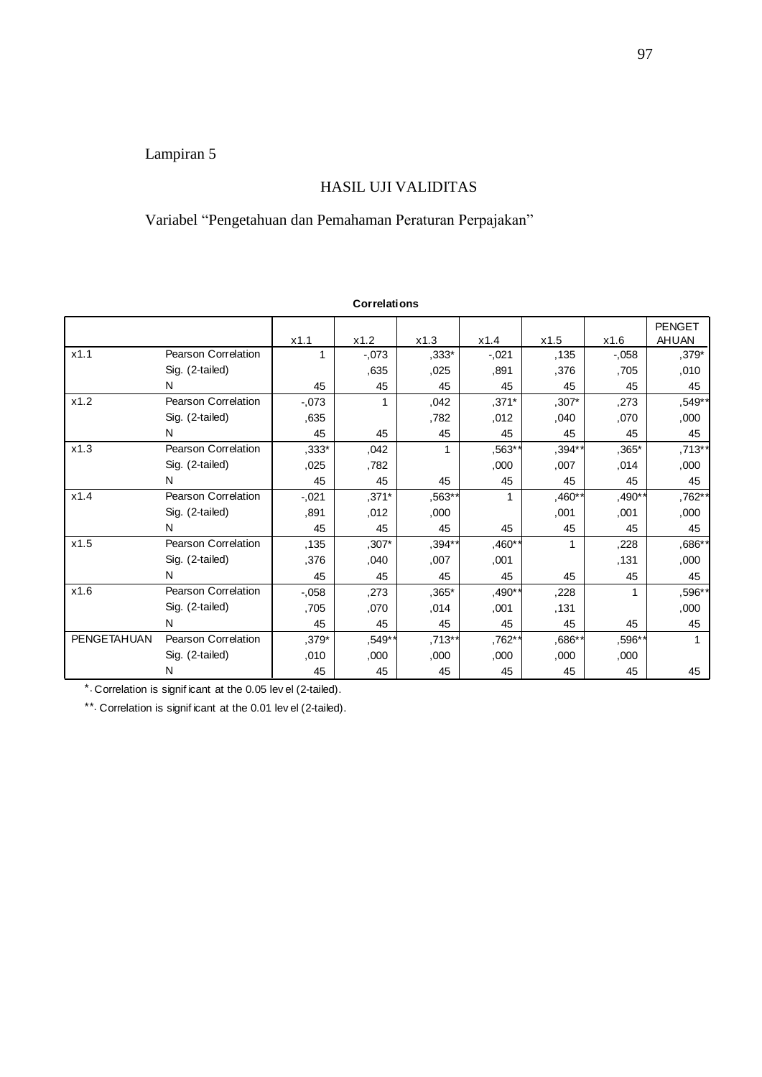### HASIL UJI VALIDITAS

# Variabel "Pengetahuan dan Pemahaman Peraturan Perpajakan"

|             |                                                                                                                             |          | <b>Correlations</b> |          |          |         |          |                        |
|-------------|-----------------------------------------------------------------------------------------------------------------------------|----------|---------------------|----------|----------|---------|----------|------------------------|
|             |                                                                                                                             | x1.1     | x1.2                | x1.3     | x1.4     | x1.5    | x1.6     | <b>PENGET</b><br>AHUAN |
| x1.1        | Pearson Correlation                                                                                                         | 1        | $-0.073$            | ,333*    | $-0.021$ | .135    | $-0.058$ | $.379*$                |
|             | Sig. (2-tailed)                                                                                                             |          | ,635                | ,025     | .891     | .376    | ,705     | ,010                   |
|             | N                                                                                                                           | 45       | 45                  | 45       | 45       | 45      | 45       | 45                     |
| x1.2        | Pearson Correlation                                                                                                         | $-0.073$ | 1                   | ,042     | $,371*$  | ,307*   | ,273     | ,549**                 |
|             | Sig. (2-tailed)                                                                                                             | ,635     |                     | ,782     | .012     | .040    | ,070     | ,000                   |
|             | N                                                                                                                           | 45       | 45                  | 45       | 45       | 45      | 45       | 45                     |
| x1.3        | Pearson Correlation                                                                                                         | ,333*    | ,042                | 1        | $.563**$ | $,394*$ | $,365*$  | .713**                 |
|             | Sig. (2-tailed)                                                                                                             | 025      | .782                |          | ,000     | ,007    | ,014     | ,000                   |
|             | N                                                                                                                           | 45       | 45                  | 45       | 45       | 45      | 45       | 45                     |
| x1.4        | Pearson Correlation                                                                                                         | $-.021$  | $,371*$             | $.563**$ | 1        | $,460*$ | $,490*$  | .762**                 |
|             | Sig. (2-tailed)                                                                                                             | .891     | ,012                | ,000     |          | ,001    | ,001     | ,000                   |
|             | N                                                                                                                           | 45       | 45                  | 45       | 45       | 45      | 45       | 45                     |
| x1.5        | Pearson Correlation                                                                                                         | ,135     | $,307*$             | ,394*    | $,460**$ | 1       | ,228     | .686**                 |
|             | Sig. (2-tailed)                                                                                                             | .376     | .040                | ,007     | ,001     |         | .131     | ,000                   |
|             | N                                                                                                                           | 45       | 45                  | 45       | 45       | 45      | 45       | 45                     |
| x1.6        | Pearson Correlation                                                                                                         | $-0.058$ | ,273                | $,365*$  | $,490**$ | ,228    | 1        | .596**                 |
|             | Sig. (2-tailed)                                                                                                             | .705     | ,070                | .014     | ,001     | ,131    |          | ,000                   |
|             | N                                                                                                                           | 45       | 45                  | 45       | 45       | 45      | 45       | 45                     |
| PENGETAHUAN | Pearson Correlation                                                                                                         | ,379*    | ,549**              | ,713**   | .762**   | $,686*$ | ,596*    | 1                      |
|             | Sig. (2-tailed)                                                                                                             | ,010     | ,000                | ,000     | ,000     | ,000    | ,000     |                        |
|             | N                                                                                                                           | 45       | 45                  | 45       | 45       | 45      | 45       | 45                     |
|             | * Correlation is significant at the 0.05 lev el (2-tailed).<br>**. Correlation is significant at the 0.01 level (2-tailed). |          |                     |          |          |         |          |                        |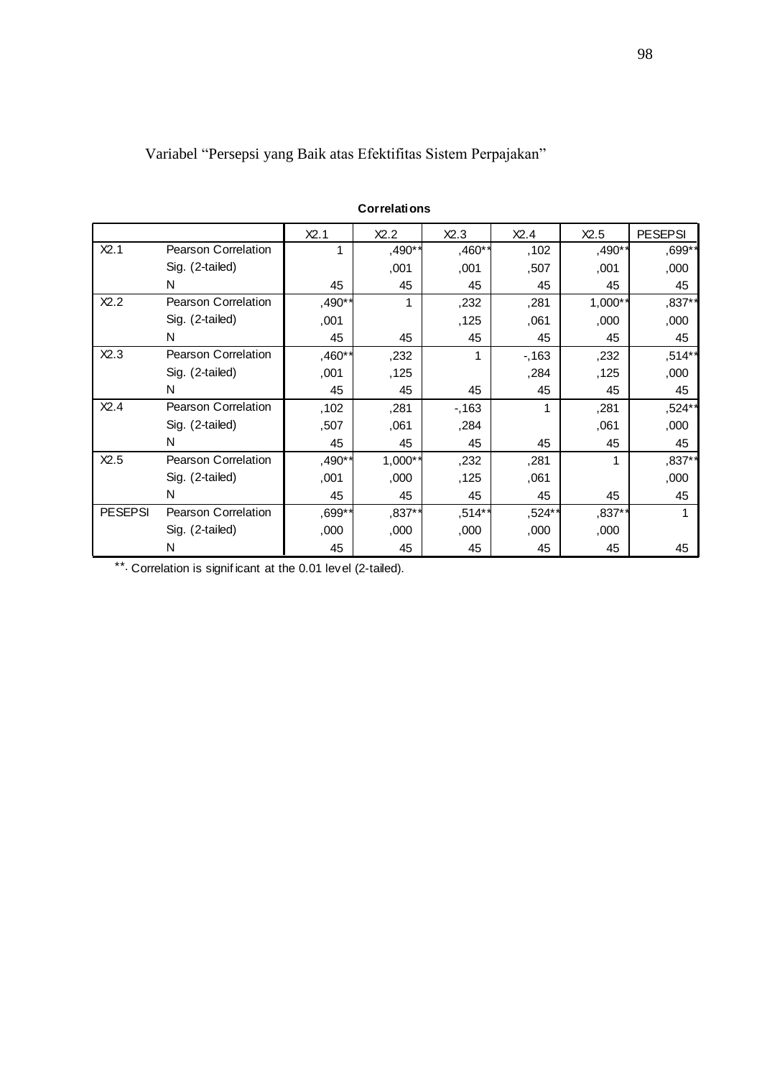|                |                            |          | <b>Correlations</b> |        |        |           |                |
|----------------|----------------------------|----------|---------------------|--------|--------|-----------|----------------|
|                |                            | X2.1     | X2.2                | X2.3   | X2.4   | X2.5      | <b>PESEPSI</b> |
| X2.1           | Pearson Correlation        | 1        | ,490**              | ,460** | ,102   | ,490**    | ,699**         |
|                | Sig. (2-tailed)            |          | ,001                | ,001   | ,507   | ,001      | ,000           |
|                | N                          | 45       | 45                  | 45     | 45     | 45        | 45             |
| X2.2           | <b>Pearson Correlation</b> | ,490**   | 1                   | ,232   | ,281   | $1,000$ * | ,837**         |
|                | Sig. (2-tailed)            | ,001     |                     | ,125   | .061   | ,000      | ,000           |
|                | N                          | 45       | 45                  | 45     | 45     | 45        | 45             |
| X2.3           | Pearson Correlation        | ,460**   | ,232                | 1      | $-163$ | ,232      | ,514**         |
|                | Sig. (2-tailed)            | ,001     | ,125                |        | ,284   | ,125      | ,000           |
|                | N                          | 45       | 45                  | 45     | 45     | 45        | 45             |
| X2.4           | Pearson Correlation        | ,102     | ,281                | $-163$ | 1      | ,281      | ,524**         |
|                | Sig. (2-tailed)            | ,507     | ,061                | ,284   |        | ,061      | ,000           |
|                | N                          | 45       | 45                  | 45     | 45     | 45        | 45             |
| X2.5           | Pearson Correlation        | $,490**$ | 1,000**             | ,232   | ,281   |           | ,837**         |
|                | Sig. (2-tailed)            | ,001     | ,000                | ,125   | ,061   |           | ,000           |
|                | N                          | 45       | 45                  | 45     | 45     | 45        | 45             |
| <b>PESEPSI</b> | <b>Pearson Correlation</b> | ,699**   | ,837**              | ,514** | ,524** | $,837$ ** | 1              |
|                | Sig. (2-tailed)            | ,000     | ,000                | ,000   | ,000   | ,000      |                |
|                | N                          | 45       | 45                  | 45     | 45     | 45        | 45             |

Variabel "Persepsi yang Baik atas Efektifitas Sistem Perpajakan"

\*\*. Correlation is significant at the 0.01 level (2-tailed).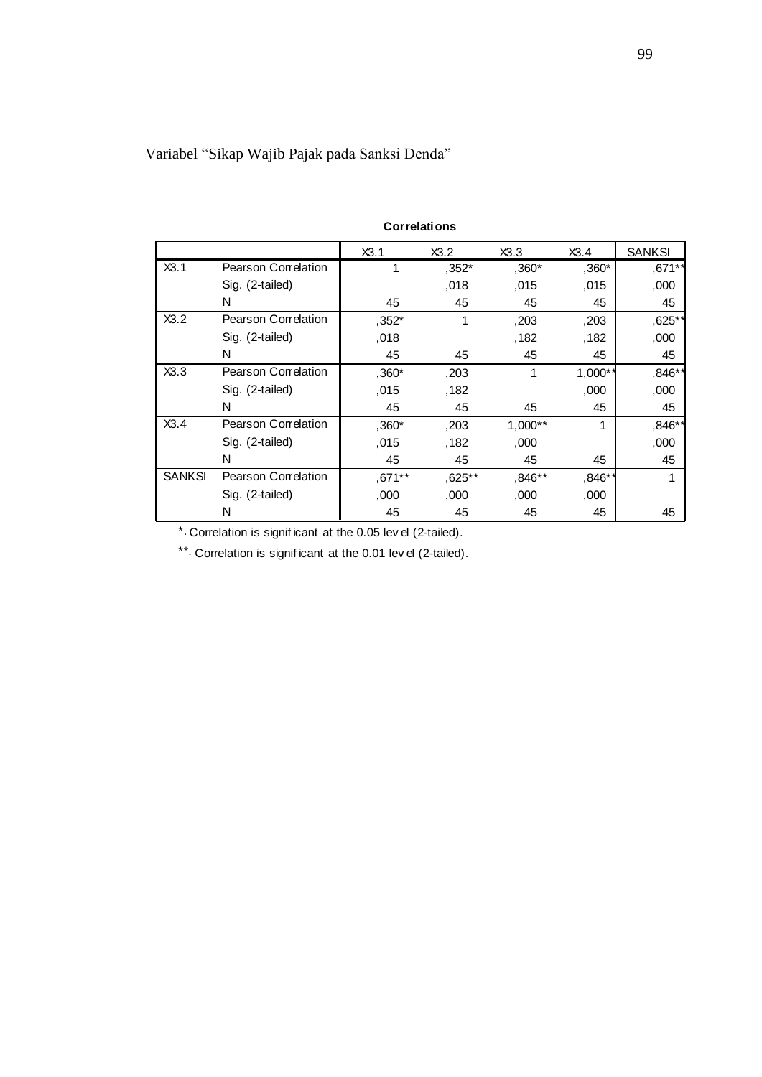|               | <b>Correlations</b>                                                                                                     |         |        |           |           |               |  |  |
|---------------|-------------------------------------------------------------------------------------------------------------------------|---------|--------|-----------|-----------|---------------|--|--|
|               |                                                                                                                         | X3.1    | X3.2   | X3.3      | X3.4      | <b>SANKSI</b> |  |  |
| X3.1          | <b>Pearson Correlation</b>                                                                                              | 1       | ,352*  | $,360*$   | ,360*     | ,671**        |  |  |
|               | Sig. (2-tailed)                                                                                                         |         | ,018   | ,015      | ,015      | ,000          |  |  |
|               | N                                                                                                                       | 45      | 45     | 45        | 45        | 45            |  |  |
| X3.2          | <b>Pearson Correlation</b>                                                                                              | ,352*   | 1      | ,203      | ,203      | ,625**        |  |  |
|               | Sig. (2-tailed)                                                                                                         | ,018    |        | ,182      | ,182      | ,000          |  |  |
|               | N                                                                                                                       | 45      | 45     | 45        | 45        | 45            |  |  |
| X3.3          | <b>Pearson Correlation</b>                                                                                              | $,360*$ | ,203   | 1         | $1,000**$ | ,846**        |  |  |
|               | Sig. (2-tailed)                                                                                                         | .015    | ,182   |           | ,000      | ,000          |  |  |
|               | N                                                                                                                       | 45      | 45     | 45        | 45        | 45            |  |  |
| X3.4          | Pearson Correlation                                                                                                     | $,360*$ | ,203   | $1,000**$ | 1         | ,846**        |  |  |
|               | Sig. (2-tailed)                                                                                                         | ,015    | ,182   | ,000      |           | ,000          |  |  |
|               | N                                                                                                                       | 45      | 45     | 45        | 45        | 45            |  |  |
| <b>SANKSI</b> | <b>Pearson Correlation</b>                                                                                              | ,671**  | ,625** | $,846$ *  | ,846**    |               |  |  |
|               | Sig. (2-tailed)                                                                                                         | ,000    | ,000   | ,000      | ,000      |               |  |  |
|               | N                                                                                                                       | 45      | 45     | 45        | 45        | 45            |  |  |
|               | * Correlation is significant at the 0.05 lev el (2-tailed).<br>Correlation is significant at the 0.01 level (2-tailed). |         |        |           |           |               |  |  |

Variabel "Sikap Wajib Pajak pada Sanksi Denda"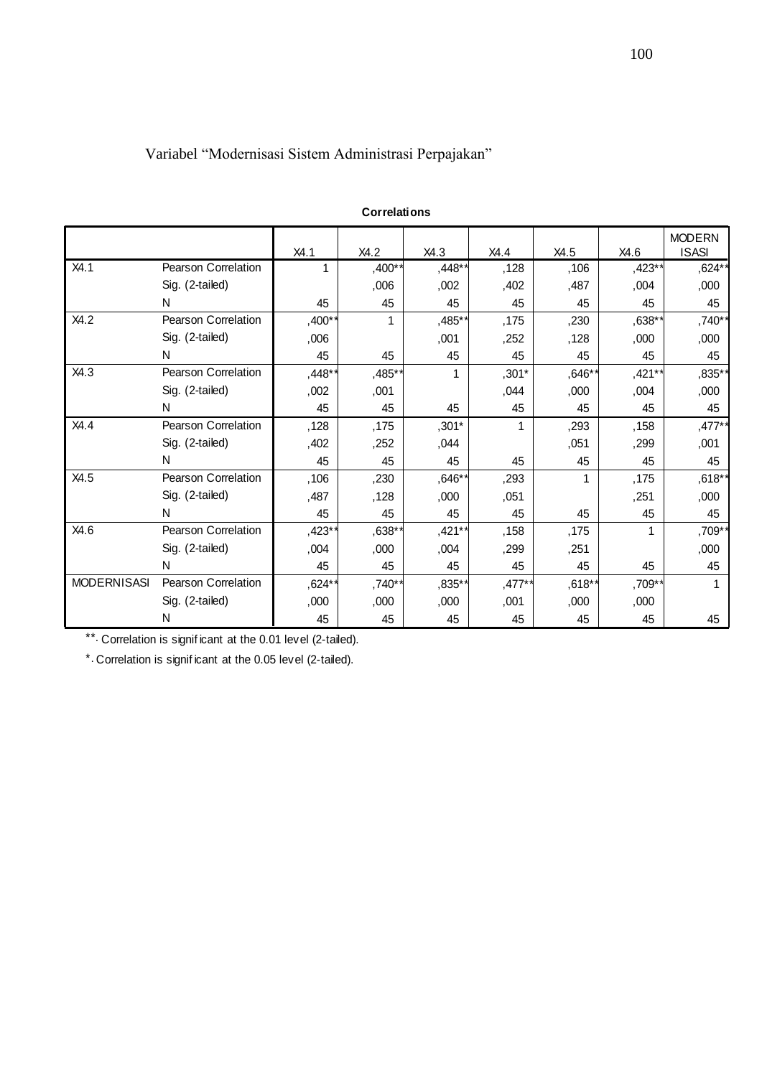# Variabel "Modernisasi Sistem Administrasi Perpajakan"

|                    |                                                                                                                            |        | <b>Correlations</b> |         |         |          |        |                               |
|--------------------|----------------------------------------------------------------------------------------------------------------------------|--------|---------------------|---------|---------|----------|--------|-------------------------------|
|                    |                                                                                                                            | X4.1   | X4.2                | X4.3    | X4.4    | X4.5     | X4.6   | <b>MODERN</b><br><b>ISASI</b> |
| X4.1               | Pearson Correlation                                                                                                        | 1      | ,400**              | ,448*   | ,128    | ,106     | ,423*  | ,624**                        |
|                    | Sig. (2-tailed)                                                                                                            |        | ,006                | ,002    | ,402    | ,487     | ,004   | ,000                          |
|                    | N                                                                                                                          | 45     | 45                  | 45      | 45      | 45       | 45     | 45                            |
| X4.2               | Pearson Correlation                                                                                                        | ,400*  | 1                   | ,485*   | ,175    | ,230     | ,638*  | ,740**                        |
|                    | Sig. (2-tailed)                                                                                                            | ,006   |                     | ,001    | ,252    | ,128     | ,000   | ,000                          |
|                    | N                                                                                                                          | 45     | 45                  | 45      | 45      | 45       | 45     | 45                            |
| X4.3               | Pearson Correlation                                                                                                        | ,448*  | ,485*               | 1       | ,301*   | $,646*$  | ,421** | ,835**                        |
|                    | Sig. (2-tailed)                                                                                                            | ,002   | ,001                |         | ,044    | ,000     | ,004   | ,000                          |
|                    | N                                                                                                                          | 45     | 45                  | 45      | 45      | 45       | 45     | 45                            |
| X4.4               | Pearson Correlation                                                                                                        | ,128   | ,175                | $,301*$ |         | ,293     | ,158   | $,477$ **                     |
|                    | Sig. (2-tailed)                                                                                                            | ,402   | ,252                | ,044    |         | ,051     | ,299   | ,001                          |
|                    | N                                                                                                                          | 45     | 45                  | 45      | 45      | 45       | 45     | 45                            |
| X4.5               | Pearson Correlation                                                                                                        | ,106   | ,230                | ,646*   | ,293    | 1        | ,175   | ,618**                        |
|                    | Sig. (2-tailed)                                                                                                            | ,487   | ,128                | ,000    | ,051    |          | ,251   | ,000                          |
|                    | N                                                                                                                          | 45     | 45                  | 45      | 45      | 45       | 45     | 45                            |
| X4.6               | Pearson Correlation                                                                                                        | ,423** | $,638**$            | ,421**  | ,158    | ,175     | 1      | ,709**                        |
|                    | Sig. (2-tailed)                                                                                                            | ,004   | ,000                | ,004    | ,299    | ,251     |        | ,000                          |
|                    | N                                                                                                                          | 45     | 45                  | 45      | 45      | 45       | 45     | 45                            |
| <b>MODERNISASI</b> | <b>Pearson Correlation</b>                                                                                                 | ,624** | ,740**              | ,835*   | $,477*$ | $,618**$ | ,709*  | 1                             |
|                    | Sig. (2-tailed)                                                                                                            | ,000   | ,000                | ,000    | ,001    | ,000     | ,000   |                               |
|                    | N                                                                                                                          | 45     | 45                  | 45      | 45      | 45       | 45     | 45                            |
|                    | **. Correlation is significant at the 0.01 level (2-tailed).<br>* Correlation is significant at the 0.05 level (2-tailed). |        |                     |         |         |          |        |                               |

#### **Correlations**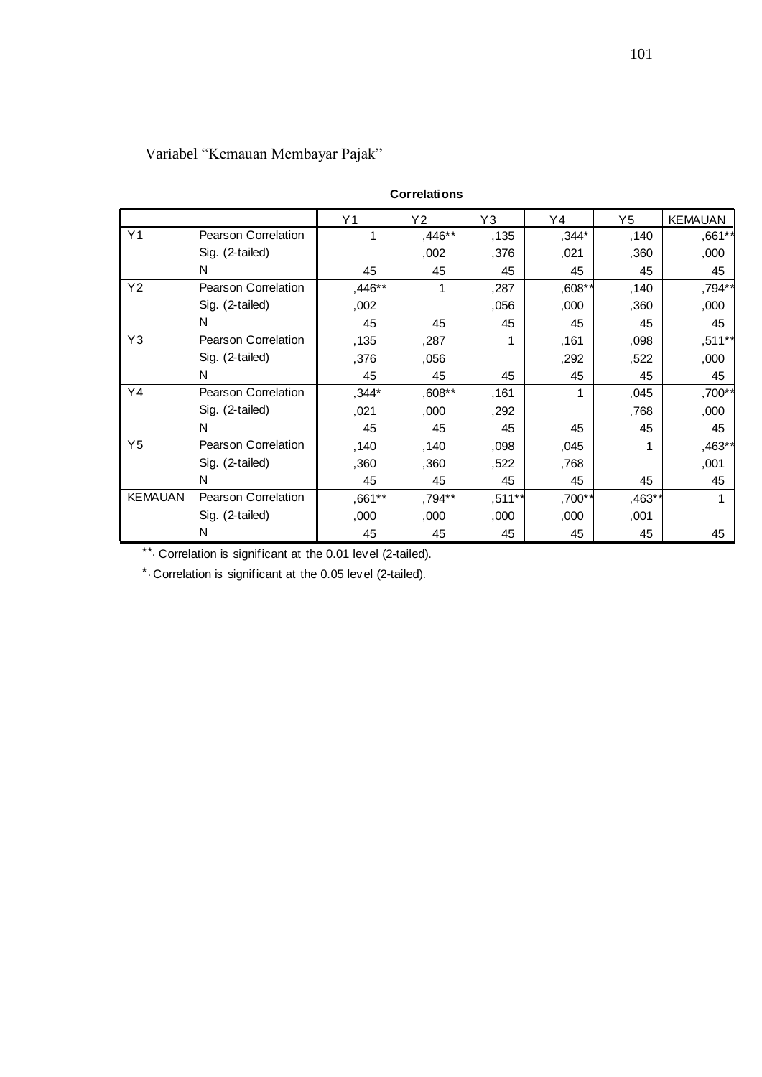|                | $\frac{1}{2}$              |                |                     |        |           |          |                |
|----------------|----------------------------|----------------|---------------------|--------|-----------|----------|----------------|
|                |                            |                | <b>Correlations</b> |        |           |          |                |
|                |                            | Y <sub>1</sub> | Y2                  | Y3     | Y4        | $Y_5$    | <b>KEMAUAN</b> |
| Y <sub>1</sub> | Pearson Correlation        | 1              | ,446**              | ,135   | ,344*     | ,140     | ,661**         |
|                | Sig. (2-tailed)            |                | ,002                | ,376   | ,021      | ,360     | ,000           |
|                | N                          | 45             | 45                  | 45     | 45        | 45       | 45             |
| Y <sub>2</sub> | Pearson Correlation        | ,446*          |                     | ,287   | $,608$ *' | ,140     | ,794**         |
|                | Sig. (2-tailed)            | ,002           |                     | ,056   | ,000      | ,360     | ,000           |
|                | N                          | 45             | 45                  | 45     | 45        | 45       | 45             |
| Y3             | Pearson Correlation        | ,135           | ,287                | 1      | ,161      | ,098     | $,511**$       |
|                | Sig. (2-tailed)            | ,376           | ,056                |        | ,292      | ,522     | ,000           |
|                | N                          | 45             | 45                  | 45     | 45        | 45       | 45             |
| Y4             | Pearson Correlation        | $,344*$        | $,608**$            | ,161   | 1         | ,045     | ,700**         |
|                | Sig. (2-tailed)            | ,021           | ,000                | ,292   |           | ,768     | ,000           |
|                | N                          | 45             | 45                  | 45     | 45        | 45       | 45             |
| Y <sub>5</sub> | <b>Pearson Correlation</b> | ,140           | ,140                | ,098   | ,045      | 1        | ,463**         |
|                | Sig. (2-tailed)            | ,360           | ,360                | ,522   | ,768      |          | ,001           |
|                | N                          | 45             | 45                  | 45     | 45        | 45       | 45             |
| <b>KEMAUAN</b> | Pearson Correlation        | ,661**         | ,794**              | ,511** | ,700**    | $,463**$ | 1              |
|                | Sig. (2-tailed)            | ,000           | ,000                | ,000   | ,000      | ,001     |                |
|                | Ν                          | 45             | 45                  | 45     | 45        | 45       | 45             |

# Variabel "Kemauan Membayar Pajak"

\*\*. Correlation is significant at the 0.01 level (2-tailed).

\*. Correlation is significant at the 0.05 level (2-tailed).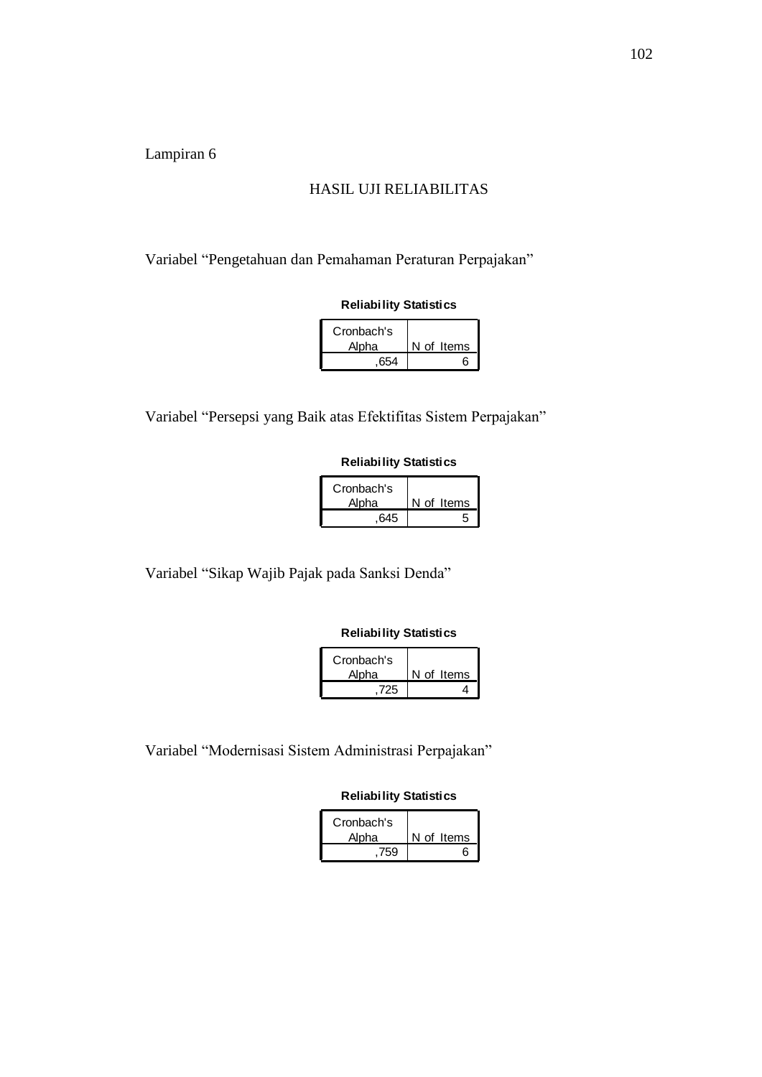#### HASIL UJI RELIABILITAS

Variabel "Pengetahuan dan Pemahaman Peraturan Perpajakan"

#### **Reliability Statistics**

| Cronbach's<br>Alpha | N of Items |
|---------------------|------------|
| .654                | հ          |

Variabel "Persepsi yang Baik atas Efektifitas Sistem Perpajakan"

#### **Reliability Statistics**

| Cronbach's |            |
|------------|------------|
| Alpha      | N of Items |
| .645       |            |

Variabel "Sikap Wajib Pajak pada Sanksi Denda"

#### **Reliability Statistics**

| Cronbach's |            |
|------------|------------|
| Alpha      | N of Items |
| 725        |            |

Variabel "Modernisasi Sistem Administrasi Perpajakan"

#### **Reliability Statistics**

| Cronbach's<br>Alpha | N of Items |
|---------------------|------------|
| 759                 | ค          |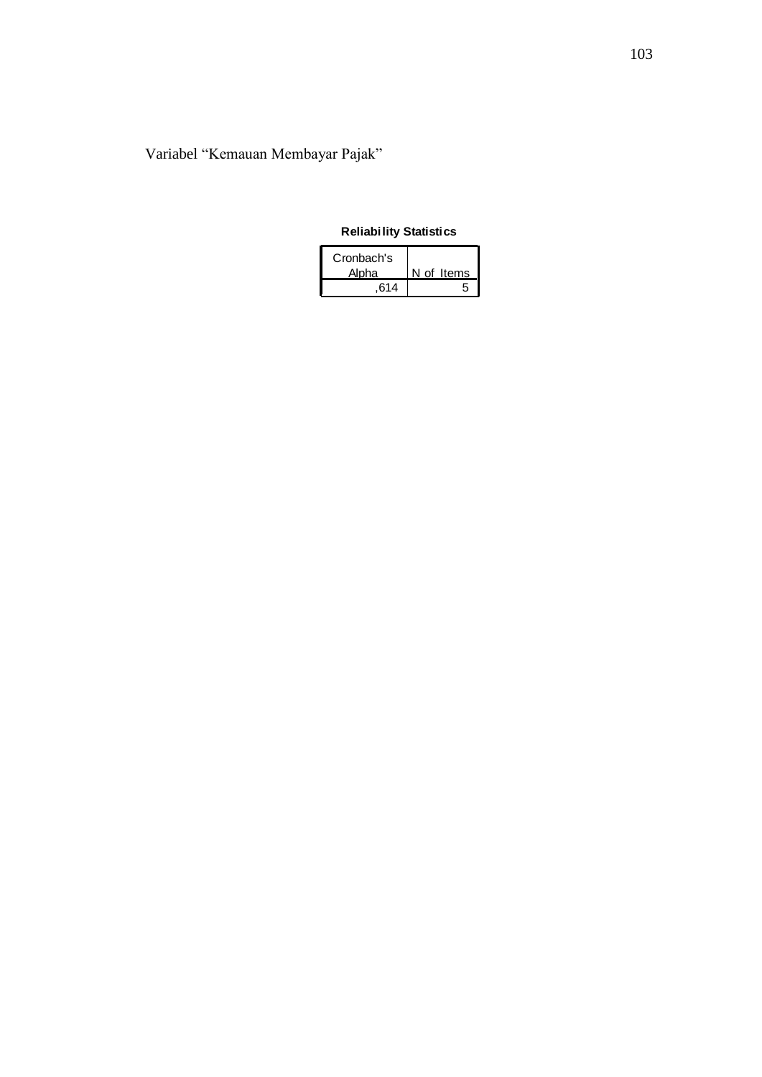# Variabel "Kemauan Membayar Pajak"

### **Reliability Statistics**

| Cronbach's |            |
|------------|------------|
| Alpha      | N of Items |
| 614        |            |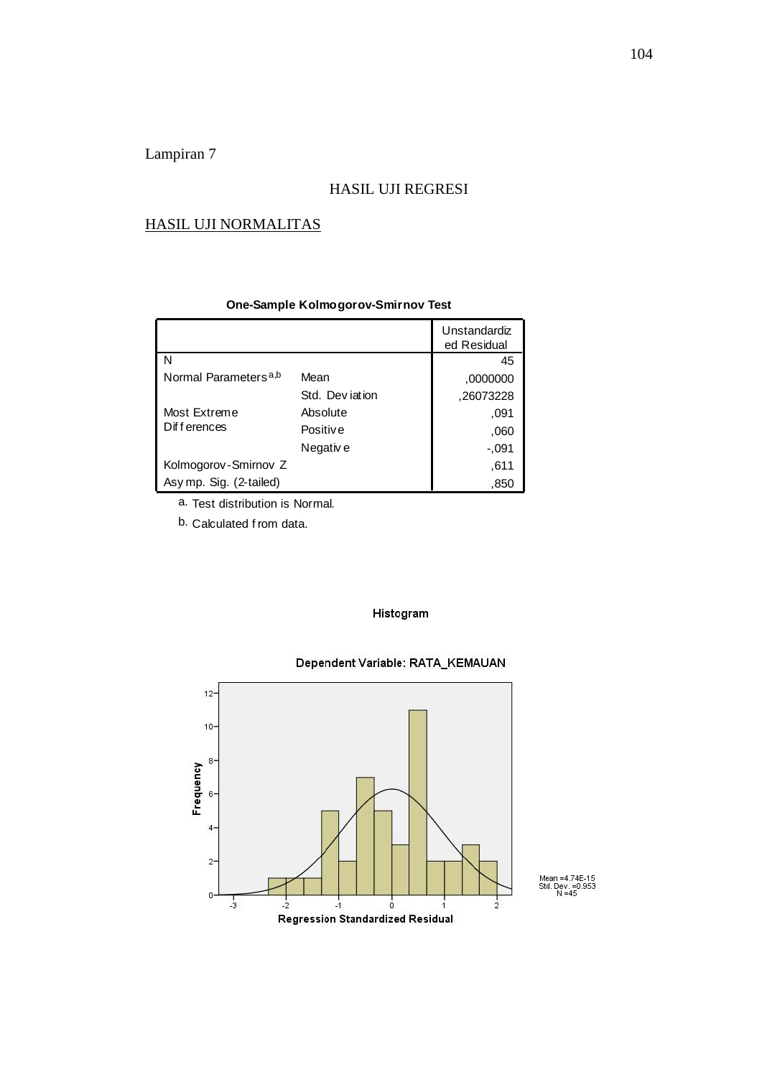#### HASIL UJI REGRESI

#### HASIL UJI NORMALITAS

|                                  |                 | Unstandardiz<br>ed Residual |
|----------------------------------|-----------------|-----------------------------|
| N                                |                 | 45                          |
| Normal Parameters <sup>a,b</sup> | Mean            | ,0000000                    |
|                                  | Std. Deviation  | ,26073228                   |
| Most Extreme                     | Absolute        | .091                        |
| Differences                      | <b>Positive</b> | ,060                        |
|                                  | Negativ e       | $-0.091$                    |
| Kolmogorov-Smirnov Z             |                 | ,611                        |
| Asy mp. Sig. (2-tailed)          |                 | ,850                        |

#### **One-Sample Kolmogorov-Smirnov Test**

a. Test distribution is Normal.

b. Calculated f rom data.

#### Histogram

#### Dependent Variable: RATA\_KEMAUAN



Mean =4.74E-15<br>Std. Dev. =0.953<br>N =45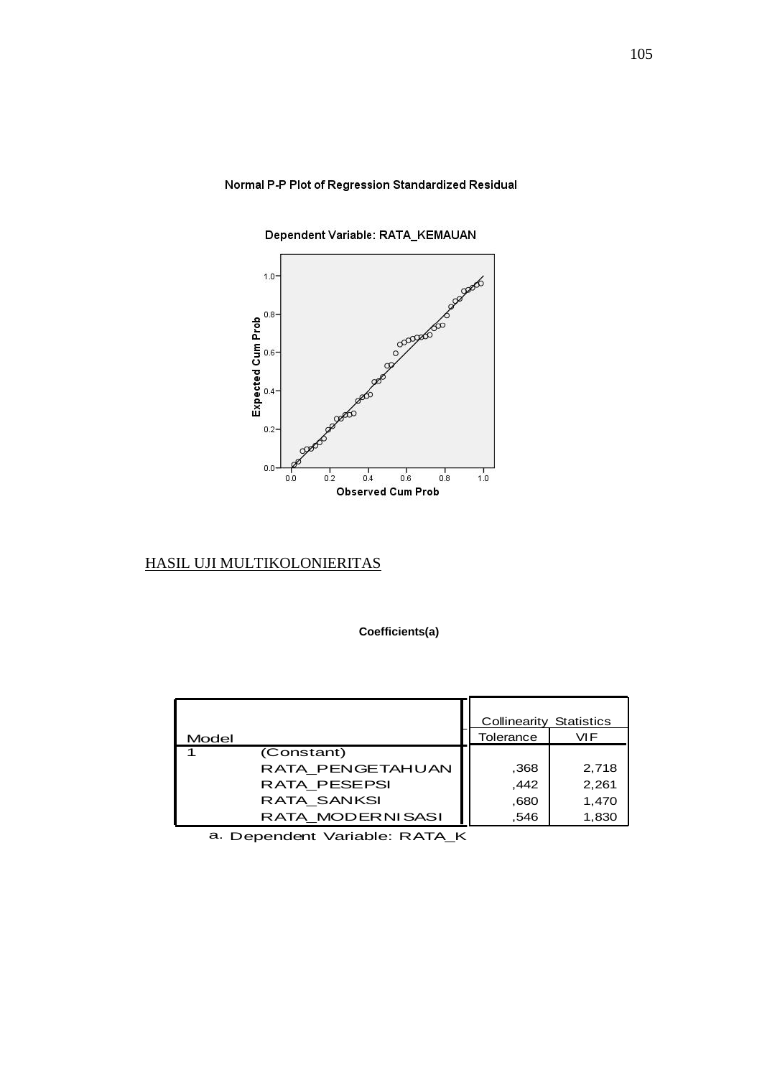#### Normal P-P Plot of Regression Standardized Residual



Dependent Variable: RATA\_KEMAUAN

### HASIL UJI MULTIKOLONIERITAS

#### **Coefficients(a)**

| Model |                  | <b>Collinearity Statistics</b><br>Tolerance | <b>VIF</b> |
|-------|------------------|---------------------------------------------|------------|
|       | (Constant)       |                                             |            |
|       | RATA_PENGETAHUAN | ,368                                        | 2,718      |
|       | RATA_PESEPSI     | ,442                                        | 2,261      |
|       | RATA_SANKSI      | .680                                        | 1,470      |
|       | RATA_MODERNISASI | ,546                                        | 1,830      |

a. Dependent Variable: RATA\_K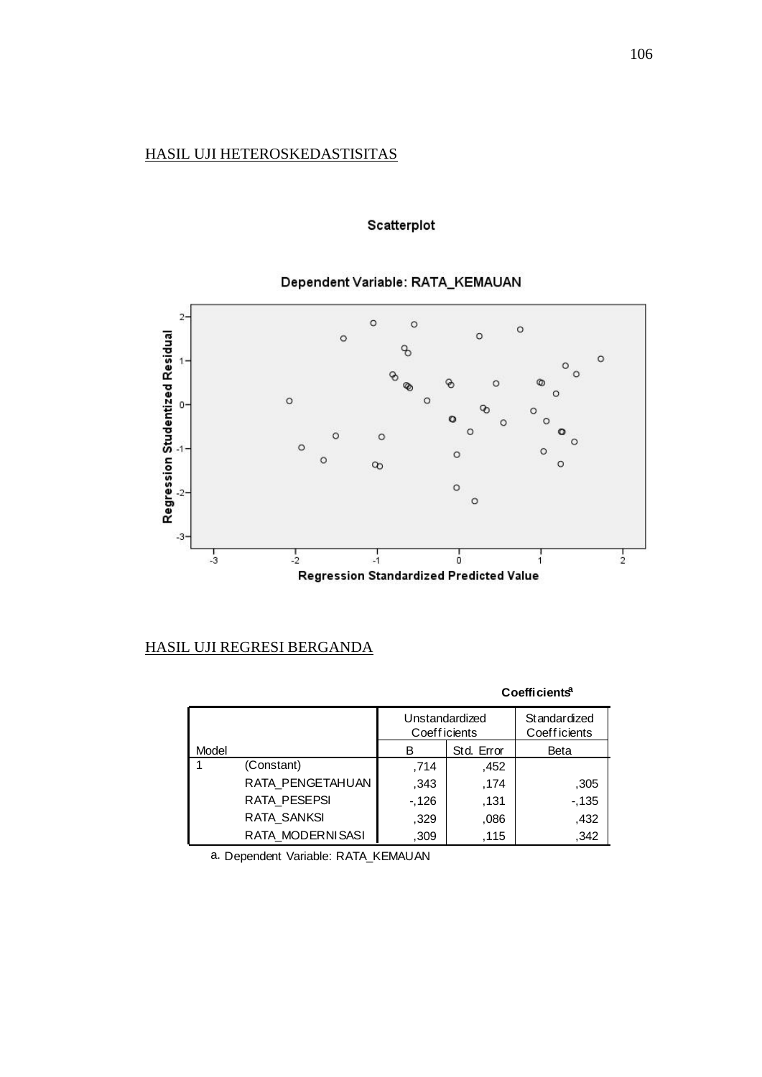## HASIL UJI HETEROSKEDASTISITAS

### Scatterplot

## Dependent Variable: RATA\_KEMAUAN



### HASIL UJI REGRESI BERGANDA

| Coefficients <sup>a</sup> |                    |                                |            |                                            |  |
|---------------------------|--------------------|--------------------------------|------------|--------------------------------------------|--|
|                           |                    | Unstandardized<br>Coefficients |            | <b>Standardized</b><br><b>Coefficients</b> |  |
| Model                     |                    | В                              | Std. Error | Beta                                       |  |
|                           | (Constant)         | .714                           | ,452       |                                            |  |
|                           | RATA PENGETAHUAN   | ,343                           | ,174       | ,305                                       |  |
|                           | RATA PESEPSI       | $-126$                         | ,131       | $-135$                                     |  |
|                           | <b>RATA SANKSI</b> | ,329                           | ,086       | ,432                                       |  |
|                           | RATA MODERNISASI   | ,309                           | ,115       | ,342                                       |  |

a. Dependent Variable: RATA\_KEMAUAN